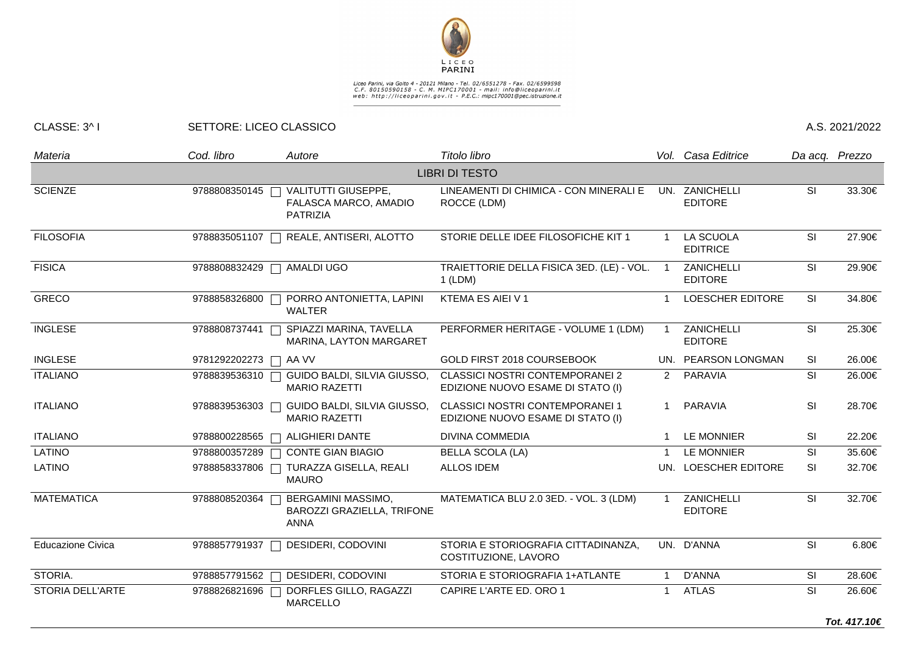

Liceo Parini, via Goito 4 - 20121 Milano - Tel. 02/6551278 - Fax. 02/6599598<br>C.F. 80150590158 - C. M. MIPC170001 - mail: info@liceoparini.it<br>web: http://liceoparini.gov.it - P.E.C.: mipc170001@pec.istruzione.it

## CLASSE: 3^ I SETTORE: LICEO CLASSICO A.S. 2021/2022

| Materia                  | Cod. libro      | Autore                                                          | Titolo libro                                                                |                | Vol. Casa Editrice                  |           | Da acq. Prezzo |  |  |  |  |  |  |
|--------------------------|-----------------|-----------------------------------------------------------------|-----------------------------------------------------------------------------|----------------|-------------------------------------|-----------|----------------|--|--|--|--|--|--|
| <b>LIBRI DI TESTO</b>    |                 |                                                                 |                                                                             |                |                                     |           |                |  |  |  |  |  |  |
| <b>SCIENZE</b>           | 9788808350145   | VALITUTTI GIUSEPPE,<br>FALASCA MARCO, AMADIO<br><b>PATRIZIA</b> | LINEAMENTI DI CHIMICA - CON MINERALI E<br>ROCCE (LDM)                       | UN.            | ZANICHELLI<br><b>EDITORE</b>        | SI        | 33.30€         |  |  |  |  |  |  |
| <b>FILOSOFIA</b>         | 9788835051107   | REALE, ANTISERI, ALOTTO                                         | STORIE DELLE IDEE FILOSOFICHE KIT 1                                         | 1              | LA SCUOLA<br><b>EDITRICE</b>        | SI        | 27.90€         |  |  |  |  |  |  |
| <b>FISICA</b>            | 9788808832429   | AMALDI UGO                                                      | TRAIETTORIE DELLA FISICA 3ED. (LE) - VOL.<br>$1$ (LDM)                      | $\overline{1}$ | ZANICHELLI<br><b>EDITORE</b>        | SI        | 29.90€         |  |  |  |  |  |  |
| <b>GRECO</b>             | 9788858326800 [ | PORRO ANTONIETTA, LAPINI<br><b>WALTER</b>                       | KTEMA ES AIEI V 1                                                           | 1              | <b>LOESCHER EDITORE</b>             | <b>SI</b> | 34.80€         |  |  |  |  |  |  |
| <b>INGLESE</b>           | 9788808737441   | SPIAZZI MARINA, TAVELLA<br>MARINA, LAYTON MARGARET              | PERFORMER HERITAGE - VOLUME 1 (LDM)                                         | $\mathbf{1}$   | ZANICHELLI<br><b>EDITORE</b>        | <b>SI</b> | 25.30€         |  |  |  |  |  |  |
| <b>INGLESE</b>           | 9781292202273   | AA VV                                                           | GOLD FIRST 2018 COURSEBOOK                                                  |                | UN. PEARSON LONGMAN                 | <b>SI</b> | 26.00€         |  |  |  |  |  |  |
| <b>ITALIANO</b>          | 9788839536310   | GUIDO BALDI, SILVIA GIUSSO,<br><b>MARIO RAZETTI</b>             | <b>CLASSICI NOSTRI CONTEMPORANEI 2</b><br>EDIZIONE NUOVO ESAME DI STATO (I) | $2^{\circ}$    | PARAVIA                             | SI        | 26.00€         |  |  |  |  |  |  |
| <b>ITALIANO</b>          | 9788839536303   | GUIDO BALDI, SILVIA GIUSSO,<br><b>MARIO RAZETTI</b>             | <b>CLASSICI NOSTRI CONTEMPORANEI 1</b><br>EDIZIONE NUOVO ESAME DI STATO (I) |                | PARAVIA                             | SI        | 28.70€         |  |  |  |  |  |  |
| <b>ITALIANO</b>          | 9788800228565   | <b>ALIGHIERI DANTE</b>                                          | <b>DIVINA COMMEDIA</b>                                                      | -1             | <b>LE MONNIER</b>                   | SI        | 22.20€         |  |  |  |  |  |  |
| LATINO                   | 9788800357289   | <b>CONTE GIAN BIAGIO</b>                                        | <b>BELLA SCOLA (LA)</b>                                                     | -1             | LE MONNIER                          | SI        | 35.60€         |  |  |  |  |  |  |
| LATINO                   | 9788858337806   | TURAZZA GISELLA, REALI<br><b>MAURO</b>                          | <b>ALLOS IDEM</b>                                                           |                | UN. LOESCHER EDITORE                | SI        | 32.70€         |  |  |  |  |  |  |
| <b>MATEMATICA</b>        | 9788808520364   | BERGAMINI MASSIMO,<br>BAROZZI GRAZIELLA, TRIFONE<br><b>ANNA</b> | MATEMATICA BLU 2.0 3ED. - VOL. 3 (LDM)                                      | $\overline{1}$ | <b>ZANICHELLI</b><br><b>EDITORE</b> | SI        | 32.70€         |  |  |  |  |  |  |
| <b>Educazione Civica</b> | 9788857791937   | DESIDERI, CODOVINI                                              | STORIA E STORIOGRAFIA CITTADINANZA,<br>COSTITUZIONE, LAVORO                 |                | UN. D'ANNA                          | SI        | 6.80€          |  |  |  |  |  |  |
| STORIA.                  | 9788857791562 [ | DESIDERI, CODOVINI                                              | STORIA E STORIOGRAFIA 1+ATLANTE                                             | $\mathbf{1}$   | D'ANNA                              | SI        | 28.60€         |  |  |  |  |  |  |
| STORIA DELL'ARTE         | 9788826821696   | DORFLES GILLO, RAGAZZI<br><b>MARCELLO</b>                       | CAPIRE L'ARTE ED. ORO 1                                                     | 1              | <b>ATLAS</b>                        | SI        | 26.60€         |  |  |  |  |  |  |